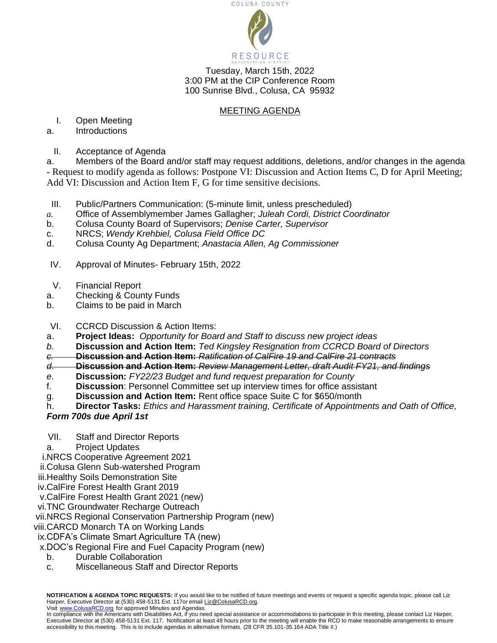

Tuesday, March 15th, 2022 3:00 PM at the CIP Conference Room 100 Sunrise Blvd., Colusa, CA 95932

## MEETING AGENDA

I. Open Meeting

## a. Introductions

II. Acceptance of Agenda

a. Members of the Board and/or staff may request additions, deletions, and/or changes in the agenda - Request to modify agenda as follows: Postpone VI: Discussion and Action Items C, D for April Meeting; Add VI: Discussion and Action Item F, G for time sensitive decisions.

- III. Public/Partners Communication: (5-minute limit, unless prescheduled)
- *a.* Office of Assemblymember James Gallagher; *Juleah Cordi, District Coordinator*
- b. Colusa County Board of Supervisors; *Denise Carter, Supervisor*
- c. NRCS; *Wendy Krehbiel, Colusa Field Office DC*
- d. Colusa County Ag Department; *Anastacia Allen, Ag Commissioner*
- IV. Approval of Minutes- February 15th, 2022
- V. Financial Report
- a. Checking & County Funds
- b. Claims to be paid in March
- VI. CCRCD Discussion & Action Items:
- a. **Project Ideas:** *Opportunity for Board and Staff to discuss new project ideas*
- *b.* **Discussion and Action Item:** *Ted Kingsley Resignation from CCRCD Board of Directors*
- *c.* **Discussion and Action Item:** *Ratification of CalFire 19 and CalFire 21 contracts*
- *d.* **Discussion and Action Item:** *Review Management Letter, draft Audit FY21, and findings*
- *e.* **Discussion:** *FY22/23 Budget and fund request preparation for County*
- f. **Discussion**: Personnel Committee set up interview times for office assistant
- g. **Discussion and Action Item:** Rent office space Suite C for \$650/month
- h. **Director Tasks:** *Ethics and Harassment training, Certificate of Appointments and Oath of Office, Form 700s due April 1st*
- VII. Staff and Director Reports
- a. Project Updates
- i.NRCS Cooperative Agreement 2021
- ii.Colusa Glenn Sub-watershed Program
- iii.Healthy Soils Demonstration Site
- iv.CalFire Forest Health Grant 2019
- v.CalFire Forest Health Grant 2021 (new)
- vi.TNC Groundwater Recharge Outreach
- vii.NRCS Regional Conservation Partnership Program (new)
- viii.CARCD Monarch TA on Working Lands

ix.CDFA's Climate Smart Agriculture TA (new)

- x.DOC's Regional Fire and Fuel Capacity Program (new)
	- b. Durable Collaboration
	- c. Miscellaneous Staff and Director Reports

**NOTIFICATION & AGENDA TOPIC REQUESTS:** If you would like to be notified of future meetings and events or request a specific agenda topic, please call Liz Harper, Executive Director at (530) 458-5131 Ext. 117or email Liz@ColusaRCD.org.

Visit [www.ColusaRCD.org](http://www.colusarcd.org/) [f](http://www.glenncountyrcd.org/)or approved Minutes and Agendas. In compliance with the Americans with Disabilities Act, if you need special assistance or accommodations to participate in this meeting, please contact Liz Harper, Executive Director at (530) 458-5131 Ext. 117. Notification at least 48 hours prior to the meeting will enable the RCD to make reasonable arrangements to ensure accessibility to this meeting. This is to include agendas in alternative formats. (28 CFR 35.101-35.164 ADA Title II.)